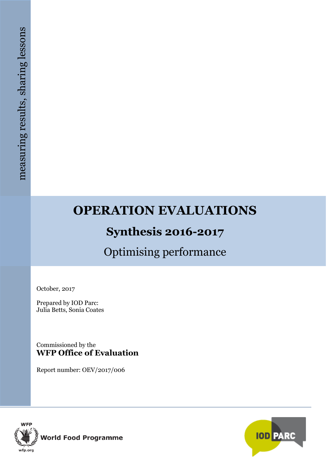# **OPERATION EVALUATIONS**

# **Synthesis 2016-2017**

# Optimising performance

October, 2017

Prepared by IOD Parc: Julia Betts, Sonia Coates

Commissioned by the **WFP Office of Evaluation**

Report number: OEV/2017/006



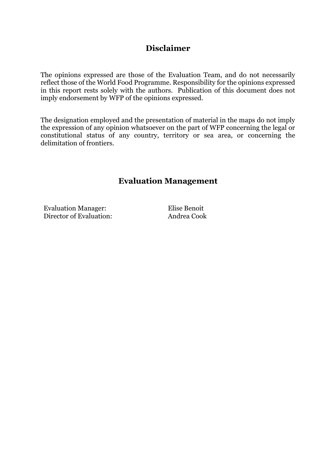## **Disclaimer**

The opinions expressed are those of the Evaluation Team, and do not necessarily reflect those of the World Food Programme. Responsibility for the opinions expressed in this report rests solely with the authors. Publication of this document does not imply endorsement by WFP of the opinions expressed.

The designation employed and the presentation of material in the maps do not imply the expression of any opinion whatsoever on the part of WFP concerning the legal or constitutional status of any country, territory or sea area, or concerning the delimitation of frontiers.

## **Evaluation Management**

Evaluation Manager: Elise Benoit Director of Evaluation: Andrea Cook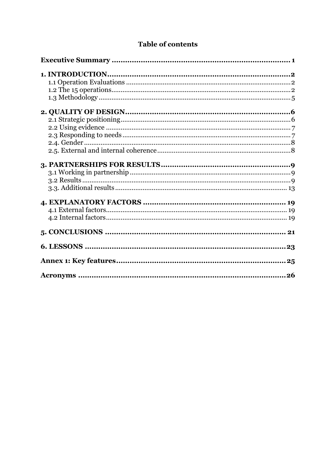## **Table of contents**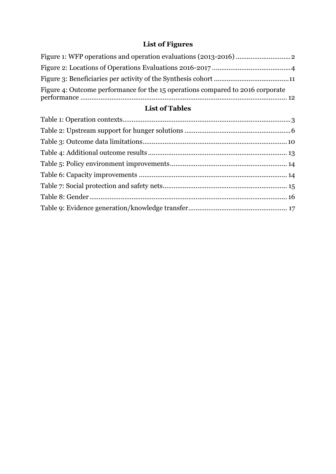## **List of Figures**

| Figure 4: Outcome performance for the 15 operations compared to 2016 corporate |  |
|--------------------------------------------------------------------------------|--|

## **List of Tables**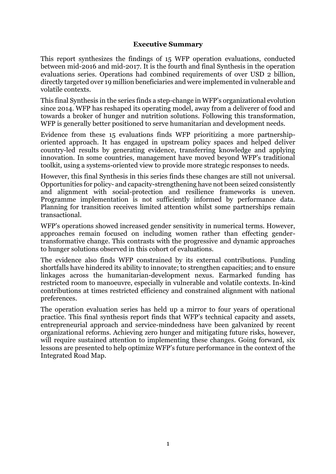#### **Executive Summary**

<span id="page-4-0"></span>This report synthesizes the findings of 15 WFP operation evaluations, conducted between mid-2016 and mid-2017. It is the fourth and final Synthesis in the operation evaluations series. Operations had combined requirements of over USD 2 billion, directly targeted over 19 million beneficiaries and were implemented in vulnerable and volatile contexts.

This final Synthesis in the series finds a step-change in WFP's organizational evolution since 2014. WFP has reshaped its operating model, away from a deliverer of food and towards a broker of hunger and nutrition solutions. Following this transformation, WFP is generally better positioned to serve humanitarian and development needs.

Evidence from these 15 evaluations finds WFP prioritizing a more partnershiporiented approach. It has engaged in upstream policy spaces and helped deliver country-led results by generating evidence, transferring knowledge and applying innovation. In some countries, management have moved beyond WFP's traditional toolkit, using a systems-oriented view to provide more strategic responses to needs.

However, this final Synthesis in this series finds these changes are still not universal. Opportunities for policy- and capacity-strengthening have not been seized consistently and alignment with social-protection and resilience frameworks is uneven. Programme implementation is not sufficiently informed by performance data. Planning for transition receives limited attention whilst some partnerships remain transactional.

WFP's operations showed increased gender sensitivity in numerical terms. However, approaches remain focused on including women rather than effecting gendertransformative change. This contrasts with the progressive and dynamic approaches to hunger solutions observed in this cohort of evaluations.

The evidence also finds WFP constrained by its external contributions. Funding shortfalls have hindered its ability to innovate; to strengthen capacities; and to ensure linkages across the humanitarian-development nexus. Earmarked funding has restricted room to manoeuvre, especially in vulnerable and volatile contexts. In-kind contributions at times restricted efficiency and constrained alignment with national preferences.

The operation evaluation series has held up a mirror to four years of operational practice. This final synthesis report finds that WFP's technical capacity and assets, entrepreneurial approach and service-mindedness have been galvanized by recent organizational reforms. Achieving zero hunger and mitigating future risks, however, will require sustained attention to implementing these changes. Going forward, six lessons are presented to help optimize WFP's future performance in the context of the Integrated Road Map.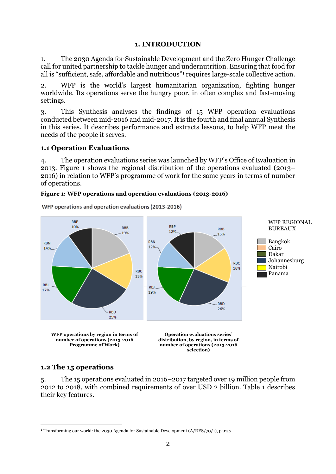#### **1. INTRODUCTION**

<span id="page-5-0"></span>1. The 2030 Agenda for Sustainable Development and the Zero Hunger Challenge call for united partnership to tackle hunger and undernutrition. Ensuring that food for all is "sufficient, safe, affordable and nutritious"<sup>1</sup> requires large-scale collective action.

2. WFP is the world's largest humanitarian organization, fighting hunger worldwide. Its operations serve the hungry poor, in often complex and fast-moving settings.

3. This Synthesis analyses the findings of 15 WFP operation evaluations conducted between mid-2016 and mid-2017. It is the fourth and final annual Synthesis in this series. It describes performance and extracts lessons, to help WFP meet the needs of the people it serves.

#### <span id="page-5-1"></span>**1.1 Operation Evaluations**

4. The operation evaluations series was launched by WFP's Office of Evaluation in 2013. Figure 1 shows the regional distribution of the operations evaluated (2013– 2016) in relation to WFP's programme of work for the same years in terms of number of operations.

#### <span id="page-5-3"></span>**Figure 1: WFP operations and operation evaluations (2013-2016)**



WFP operations and operation evaluations (2013-2016)

## <span id="page-5-2"></span>**1.2 The 15 operations**

1

5. The 15 operations evaluated in 2016–2017 targeted over 19 million people from 2012 to 2018, with combined requirements of over USD 2 billion. Table 1 describes their key features.

<sup>1</sup> Transforming our world: the 2030 Agenda for Sustainable Development (A/RES/70/1), para.7.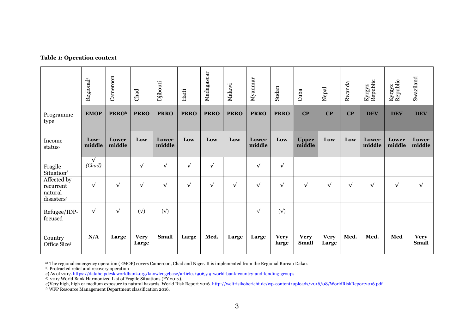#### **Table 1: Operation context**

|                                                   | Regional <sup>a</sup> | Cameroon        | Chad                 | Djibouti        | Haiti       | Madagascar  | Malawi      | Myanmar         | Sudan                | Cuba                        | Nepal                | Rwanda     | Kyrgyz<br>Republic | Kyrgyz<br>Republic | Swaziland                   |
|---------------------------------------------------|-----------------------|-----------------|----------------------|-----------------|-------------|-------------|-------------|-----------------|----------------------|-----------------------------|----------------------|------------|--------------------|--------------------|-----------------------------|
| Programme<br>type                                 | <b>EMOP</b>           | <b>PRRO</b> b   | <b>PRRO</b>          | <b>PRRO</b>     | <b>PRRO</b> | <b>PRRO</b> | <b>PRRO</b> | <b>PRRO</b>     | <b>PRRO</b>          | $\bf CP$                    | CP                   | $\bf CP$   | <b>DEV</b>         | <b>DEV</b>         | <b>DEV</b>                  |
| Income<br>statusc                                 | Low-<br>middle        | Lower<br>middle | Low                  | Lower<br>middle | Low         | Low         | Low         | Lower<br>middle | Low                  | <b>Upper</b><br>middle      | Low                  | Low        | Lower<br>middle    | Lower<br>middle    | Lower<br>middle             |
| Fragile<br>Situation <sup>d</sup>                 | $\sqrt{ }$<br>(Chad)  |                 | $\sqrt{ }$           | $\sqrt{ }$      | $\sqrt{ }$  | $\sqrt{ }$  |             | $\sqrt{ }$      | $\sqrt{ }$           |                             |                      |            |                    |                    |                             |
| Affected by<br>recurrent<br>natural<br>disasterse | $\sqrt{ }$            | $\sqrt{ }$      | $\sqrt{ }$           | $\sqrt{ }$      | $\sqrt{ }$  | $\sqrt{ }$  | $\sqrt{ }$  | $\sqrt{ }$      | $\sqrt{ }$           | $\sqrt{}$                   | $\sqrt{ }$           | $\sqrt{ }$ | $\sqrt{ }$         | $\sqrt{ }$         | $\sqrt{ }$                  |
| Refugee/IDP-<br>focused                           | $\sqrt{ }$            | $\sqrt{ }$      | $(\sqrt{2})$         | $(\sqrt{2})$    |             |             |             | $\sqrt{ }$      | $(\sqrt{2})$         |                             |                      |            |                    |                    |                             |
| Country<br>Office Sizef                           | N/A                   | Large           | <b>Very</b><br>Large | <b>Small</b>    | Large       | Med.        | Large       | Large           | <b>Very</b><br>large | <b>Very</b><br><b>Small</b> | <b>Very</b><br>Large | Med.       | Med.               | Med                | <b>Very</b><br><b>Small</b> |

<span id="page-6-0"></span>a) The regional emergency operation (EMOP) covers Cameroon, Chad and Niger. It is implemented from the Regional Bureau Dakar.

b) Protracted relief and recovery operation

c) As of 2017[. https://datahelpdesk.worldbank.org/knowledgebase/articles/906519-world-bank-country-and-lending-groups](https://datahelpdesk.worldbank.org/knowledgebase/articles/906519-world-bank-country-and-lending-groups)

d) 2017 World Bank Harmonized List of Fragile Situations (FY 2017).

e)Very high, high or medium exposure to natural hazards. World Risk Report 2016[. http://weltrisikobericht.de/wp-content/uploads/2016/08/WorldRiskReport2016.pdf](http://weltrisikobericht.de/wp-content/uploads/2016/08/WorldRiskReport2016.pdf)

f) WFP Resource Management Department classification 2016.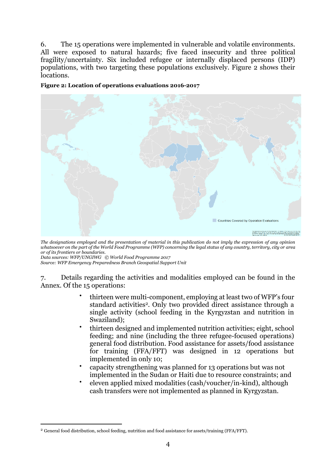6. The 15 operations were implemented in vulnerable and volatile environments. All were exposed to natural hazards; five faced insecurity and three political fragility/uncertainty. Six included refugee or internally displaced persons (IDP) populations, with two targeting these populations exclusively. Figure 2 shows their locations.

<span id="page-7-0"></span>**Figure 2: Location of operations evaluations 2016-2017**



*The designations employed and the presentation of material in this publication do not imply the expression of any opinion whatsoever on the part of the World Food Programme (WFP) concerning the legal status of any country, territory, city or area or of its frontiers or boundaries.*

*Data sources: WFP/UNGIWG © World Food Programme 2017 Source: WFP Emergency Preparedness Branch Geospatial Support Unit*

1

7. Details regarding the activities and modalities employed can be found in the Annex. Of the 15 operations:

- thirteen were multi-component, employing at least two of WFP's four standard activities<sup>2</sup>. Only two provided direct assistance through a single activity (school feeding in the Kyrgyzstan and nutrition in Swaziland);
- thirteen designed and implemented nutrition activities; eight, school feeding; and nine (including the three refugee-focused operations) general food distribution. Food assistance for assets/food assistance for training (FFA/FFT) was designed in 12 operations but implemented in only 10;
- capacity strengthening was planned for 13 operations but was not implemented in the Sudan or Haiti due to resource constraints; and
- eleven applied mixed modalities (cash/voucher/in-kind), although cash transfers were not implemented as planned in Kyrgyzstan.

<sup>2</sup> General food distribution, school feeding, nutrition and food assistance for assets/training (FFA/FFT).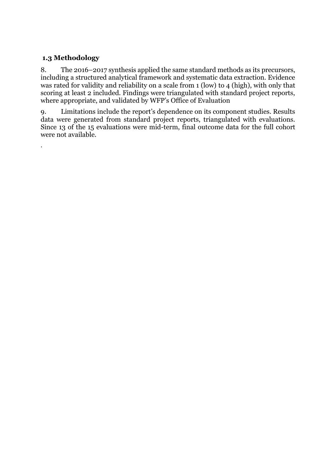## <span id="page-8-0"></span>**1.3 Methodology**

.

8. The 2016–2017 synthesis applied the same standard methods as its precursors, including a structured analytical framework and systematic data extraction. Evidence was rated for validity and reliability on a scale from 1 (low) to 4 (high), with only that scoring at least 2 included. Findings were triangulated with standard project reports, where appropriate, and validated by WFP's Office of Evaluation

9. Limitations include the report's dependence on its component studies. Results data were generated from standard project reports, triangulated with evaluations. Since 13 of the 15 evaluations were mid-term, final outcome data for the full cohort were not available.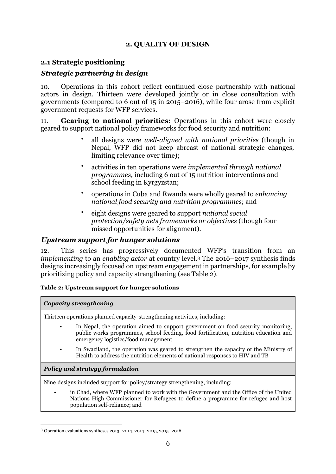## **2. QUALITY OF DESIGN**

## <span id="page-9-1"></span><span id="page-9-0"></span>**2.1 Strategic positioning**

## *Strategic partnering in design*

10. Operations in this cohort reflect continued close partnership with national actors in design. Thirteen were developed jointly or in close consultation with governments (compared to 6 out of 15 in 2015–2016), while four arose from explicit government requests for WFP services.

11. **Gearing to national priorities:** Operations in this cohort were closely geared to support national policy frameworks for food security and nutrition:

- all designs were *well-aligned with national priorities* (though in Nepal, WFP did not keep abreast of national strategic changes, limiting relevance over time);
- activities in ten operations were *implemented through national programmes,* including 6 out of 15 nutrition interventions and school feeding in Kyrgyzstan;
- operations in Cuba and Rwanda were wholly geared to *enhancing national food security and nutrition programmes*; and
- eight designs were geared to support *national social protection/safety nets frameworks or objectives* (though four missed opportunities for alignment).

### *Upstream support for hunger solutions*

12. This series has progressively documented WFP's transition from an *implementing* to an *enabling actor* at country level.<sup>3</sup> The 2016–2017 synthesis finds designs increasingly focused on upstream engagement in partnerships, for example by prioritizing policy and capacity strengthening (see Table 2).

#### <span id="page-9-2"></span>**Table 2: Upstream support for hunger solutions**

#### *Capacity strengthening*

Thirteen operations planned capacity-strengthening activities, including:

- In Nepal, the operation aimed to support government on food security monitoring, public works programmes, school feeding, food fortification, nutrition education and emergency logistics/food management
- In Swaziland, the operation was geared to strengthen the capacity of the Ministry of Health to address the nutrition elements of national responses to HIV and TB

#### *Policy and strategy formulation*

1

Nine designs included support for policy/strategy strengthening, including:

• in Chad, where WFP planned to work with the Government and the Office of the United Nations High Commissioner for Refugees to define a programme for refugee and host population self-reliance; and

<sup>3</sup> Operation evaluations syntheses 2013–2014, 2014–2015, 2015–2016.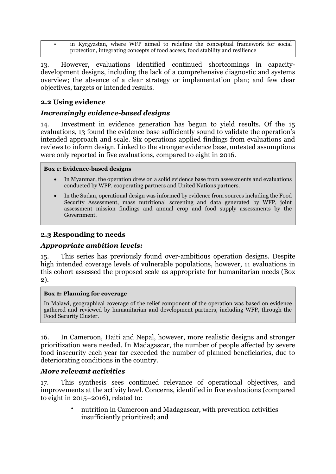in Kyrgyzstan, where WFP aimed to redefine the conceptual framework for social protection, integrating concepts of food access, food stability and resilience

13. However, evaluations identified continued shortcomings in capacitydevelopment designs, including the lack of a comprehensive diagnostic and systems overview; the absence of a clear strategy or implementation plan; and few clear objectives, targets or intended results.

## <span id="page-10-0"></span>**2.2 Using evidence**

## *Increasingly evidence-based designs*

14. Investment in evidence generation has begun to yield results. Of the 15 evaluations, 13 found the evidence base sufficiently sound to validate the operation's intended approach and scale. Six operations applied findings from evaluations and reviews to inform design. Linked to the stronger evidence base, untested assumptions were only reported in five evaluations, compared to eight in 2016.

#### **Box 1: Evidence-based designs**

- In Myanmar, the operation drew on a solid evidence base from assessments and evaluations conducted by WFP, cooperating partners and United Nations partners.
- In the Sudan, operational design was informed by evidence from sources including the Food Security Assessment, mass nutritional screening and data generated by WFP, joint assessment mission findings and annual crop and food supply assessments by the Government.

## <span id="page-10-1"></span>**2.3 Responding to needs**

## *Appropriate ambition levels:*

15. This series has previously found over-ambitious operation designs. Despite high intended coverage levels of vulnerable populations, however, 11 evaluations in this cohort assessed the proposed scale as appropriate for humanitarian needs (Box 2).

#### **Box 2: Planning for coverage**

In Malawi, geographical coverage of the relief component of the operation was based on evidence gathered and reviewed by humanitarian and development partners, including WFP, through the Food Security Cluster.

16. In Cameroon, Haiti and Nepal, however, more realistic designs and stronger prioritization were needed. In Madagascar, the number of people affected by severe food insecurity each year far exceeded the number of planned beneficiaries, due to deteriorating conditions in the country.

#### *More relevant activities*

17. This synthesis sees continued relevance of operational objectives, and improvements at the activity level. Concerns, identified in five evaluations (compared to eight in 2015–2016), related to:

> • nutrition in Cameroon and Madagascar, with prevention activities insufficiently prioritized; and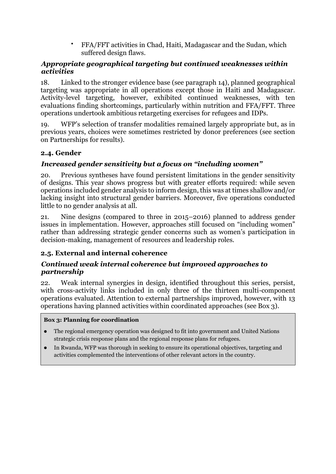• FFA/FFT activities in Chad, Haiti, Madagascar and the Sudan, which suffered design flaws.

## *Appropriate geographical targeting but continued weaknesses within activities*

18. Linked to the stronger evidence base (see paragraph 14), planned geographical targeting was appropriate in all operations except those in Haiti and Madagascar. Activity-level targeting, however, exhibited continued weaknesses, with ten evaluations finding shortcomings, particularly within nutrition and FFA/FFT. Three operations undertook ambitious retargeting exercises for refugees and IDPs.

19. WFP's selection of transfer modalities remained largely appropriate but, as in previous years, choices were sometimes restricted by donor preferences (see section on Partnerships for results).

## <span id="page-11-0"></span>**2.4. Gender**

## *Increased gender sensitivity but a focus on "including women"*

20. Previous syntheses have found persistent limitations in the gender sensitivity of designs. This year shows progress but with greater efforts required: while seven operations included gender analysis to inform design, this was at times shallow and/or lacking insight into structural gender barriers. Moreover, five operations conducted little to no gender analysis at all.

21. Nine designs (compared to three in 2015–2016) planned to address gender issues in implementation. However, approaches still focused on "including women" rather than addressing strategic gender concerns such as women's participation in decision-making, management of resources and leadership roles.

## <span id="page-11-1"></span>**2.5. External and internal coherence**

## *Continued weak internal coherence but improved approaches to partnership*

22. Weak internal synergies in design, identified throughout this series, persist, with cross-activity links included in only three of the thirteen multi-component operations evaluated. Attention to external partnerships improved, however, with 13 operations having planned activities within coordinated approaches (see Box 3).

#### **Box 3: Planning for coordination**

- The regional emergency operation was designed to fit into government and United Nations strategic crisis response plans and the regional response plans for refugees.
- In Rwanda, WFP was thorough in seeking to ensure its operational objectives, targeting and activities complemented the interventions of other relevant actors in the country.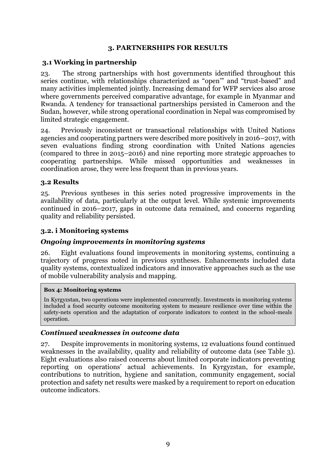## **3. PARTNERSHIPS FOR RESULTS**

## <span id="page-12-1"></span><span id="page-12-0"></span>**3.1 Working in partnership**

23. The strong partnerships with host governments identified throughout this series continue, with relationships characterized as "open'" and "trust-based" and many activities implemented jointly. Increasing demand for WFP services also arose where governments perceived comparative advantage, for example in Myanmar and Rwanda. A tendency for transactional partnerships persisted in Cameroon and the Sudan, however, while strong operational coordination in Nepal was compromised by limited strategic engagement.

24. Previously inconsistent or transactional relationships with United Nations agencies and cooperating partners were described more positively in 2016–2017, with seven evaluations finding strong coordination with United Nations agencies (compared to three in 2015–2016) and nine reporting more strategic approaches to cooperating partnerships. While missed opportunities and weaknesses in coordination arose, they were less frequent than in previous years.

## <span id="page-12-2"></span>**3.2 Results**

25. Previous syntheses in this series noted progressive improvements in the availability of data, particularly at the output level. While systemic improvements continued in 2016–2017, gaps in outcome data remained, and concerns regarding quality and reliability persisted.

## **3.2. i Monitoring systems**

## *Ongoing improvements in monitoring systems*

26. Eight evaluations found improvements in monitoring systems, continuing a trajectory of progress noted in previous syntheses. Enhancements included data quality systems, contextualized indicators and innovative approaches such as the use of mobile vulnerability analysis and mapping.

#### **Box 4: Monitoring systems**

In Kyrgyzstan, two operations were implemented concurrently. Investments in monitoring systems included a food security outcome monitoring system to measure resilience over time within the safety-nets operation and the adaptation of corporate indicators to context in the school-meals operation.

#### *Continued weaknesses in outcome data*

27. Despite improvements in monitoring systems, 12 evaluations found continued weaknesses in the availability, quality and reliability of outcome data (see Table 3). Eight evaluations also raised concerns about limited corporate indicators preventing reporting on operations' actual achievements. In Kyrgyzstan, for example, contributions to nutrition, hygiene and sanitation, community engagement, social protection and safety net results were masked by a requirement to report on education outcome indicators.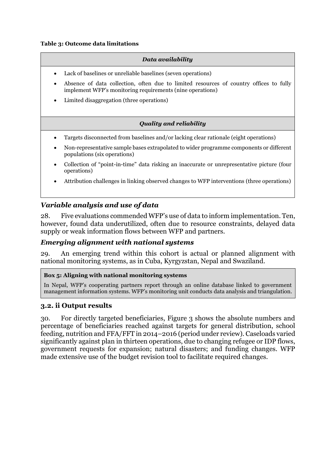#### <span id="page-13-0"></span>**Table 3: Outcome data limitations**

#### *Data availability*

- Lack of baselines or unreliable baselines (seven operations)
- Absence of data collection, often due to limited resources of country offices to fully implement WFP's monitoring requirements (nine operations)
- Limited disaggregation (three operations)

#### *Quality and reliability*

- Targets disconnected from baselines and/or lacking clear rationale (eight operations)
- Non-representative sample bases extrapolated to wider programme components or different populations (six operations)
- Collection of "point-in-time" data risking an inaccurate or unrepresentative picture (four operations)
- Attribution challenges in linking observed changes to WFP interventions (three operations)

#### *Variable analysis and use of data*

28. Five evaluations commended WFP's use of data to inform implementation. Ten, however, found data underutilized, often due to resource constraints, delayed data supply or weak information flows between WFP and partners.

#### *Emerging alignment with national systems*

29. An emerging trend within this cohort is actual or planned alignment with national monitoring systems, as in Cuba, Kyrgyzstan, Nepal and Swaziland.

#### **Box 5: Aligning with national monitoring systems**

In Nepal, WFP's cooperating partners report through an online database linked to government management information systems. WFP's monitoring unit conducts data analysis and triangulation.

#### **3.2. ii Output results**

30. For directly targeted beneficiaries, Figure 3 shows the absolute numbers and percentage of beneficiaries reached against targets for general distribution, school feeding, nutrition and FFA/FFT in 2014–2016 (period under review). Caseloads varied significantly against plan in thirteen operations, due to changing refugee or IDP flows, government requests for expansion; natural disasters; and funding changes. WFP made extensive use of the budget revision tool to facilitate required changes.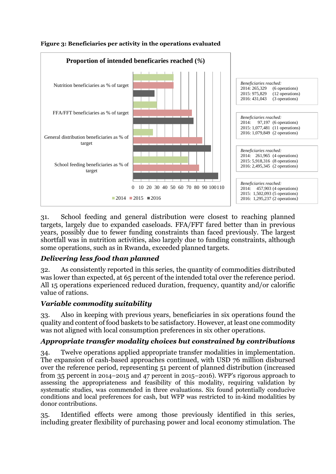

#### <span id="page-14-0"></span>**Figure 3: Beneficiaries per activity in the operations evaluated**

31. School feeding and general distribution were closest to reaching planned targets, largely due to expanded caseloads. FFA/FFT fared better than in previous years, possibly due to fewer funding constraints than faced previously. The largest shortfall was in nutrition activities, also largely due to funding constraints, although some operations, such as in Rwanda, exceeded planned targets.

## *Delivering less food than planned*

32. As consistently reported in this series, the quantity of commodities distributed was lower than expected, at 65 percent of the intended total over the reference period. All 15 operations experienced reduced duration, frequency, quantity and/or calorific value of rations.

## *Variable commodity suitability*

33. Also in keeping with previous years, beneficiaries in six operations found the quality and content of food baskets to be satisfactory. However, at least one commodity was not aligned with local consumption preferences in six other operations.

## *Appropriate transfer modality choices but constrained by contributions*

34. Twelve operations applied appropriate transfer modalities in implementation. The expansion of cash-based approaches continued, with USD 76 million disbursed over the reference period, representing 51 percent of planned distribution (increased from 35 percent in 2014–2015 and 47 percent in 2015–2016). WFP's rigorous approach to assessing the appropriateness and feasibility of this modality, requiring validation by systematic studies, was commended in three evaluations. Six found potentially conducive conditions and local preferences for cash, but WFP was restricted to in-kind modalities by donor contributions.

35. Identified effects were among those previously identified in this series, including greater flexibility of purchasing power and local economy stimulation. The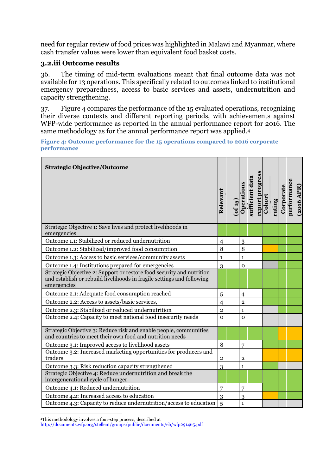need for regular review of food prices was highlighted in Malawi and Myanmar, where cash transfer values were lower than equivalent food basket costs.

## **3.2.iii Outcome results**

36. The timing of mid-term evaluations meant that final outcome data was not available for 13 operations. This specifically related to outcomes linked to institutional emergency preparedness, access to basic services and assets, undernutrition and capacity strengthening.

37. Figure 4 compares the performance of the 15 evaluated operations, recognizing their diverse contexts and different reporting periods, with achievements against WFP-wide performance as reported in the annual performance report for 2016. The same methodology as for the annual performance report was applied.<sup>4</sup>

<span id="page-15-0"></span>**Figure 4: Outcome performance for the 15 operations compared to 2016 corporate performance**

| <b>Strategic Objective/Outcome</b>                                                                                                                             | Relevant       | $($ of 15 $)$ | Operations     | sufficient data | report progress | Cohort | rating | Corporate | performance | $(2016~\rm{APR})$ |
|----------------------------------------------------------------------------------------------------------------------------------------------------------------|----------------|---------------|----------------|-----------------|-----------------|--------|--------|-----------|-------------|-------------------|
| Strategic Objective 1: Save lives and protect livelihoods in<br>emergencies                                                                                    |                |               |                |                 |                 |        |        |           |             |                   |
| Outcome 1.1: Stabilized or reduced undernutrition                                                                                                              | $\overline{4}$ |               | 3              |                 |                 |        |        |           |             |                   |
| Outcome 1.2: Stabilized/improved food consumption                                                                                                              | 8              |               | 8              |                 |                 |        |        |           |             |                   |
| Outcome 1.3: Access to basic services/community assets                                                                                                         | $\mathbf{1}$   |               | $\mathbf{1}$   |                 |                 |        |        |           |             |                   |
| Outcome 1.4: Institutions prepared for emergencies                                                                                                             | 3              |               | $\mathbf 0$    |                 |                 |        |        |           |             |                   |
| Strategic Objective 2: Support or restore food security and nutrition<br>and establish or rebuild livelihoods in fragile settings and following<br>emergencies |                |               |                |                 |                 |        |        |           |             |                   |
| Outcome 2.1: Adequate food consumption reached                                                                                                                 | 5              |               | $\overline{4}$ |                 |                 |        |        |           |             |                   |
| Outcome 2.2: Access to assets/basic services,                                                                                                                  | $\overline{4}$ |               | $\overline{2}$ |                 |                 |        |        |           |             |                   |
| Outcome 2.3: Stabilized or reduced undernutrition                                                                                                              | $\overline{2}$ |               | $\mathbf{1}$   |                 |                 |        |        |           |             |                   |
| Outcome 2.4: Capacity to meet national food insecurity needs                                                                                                   | $\Omega$       |               | $\Omega$       |                 |                 |        |        |           |             |                   |
| Strategic Objective 3: Reduce risk and enable people, communities<br>and countries to meet their own food and nutrition needs                                  |                |               |                |                 |                 |        |        |           |             |                   |
| Outcome 3.1: Improved access to livelihood assets                                                                                                              | 8              |               | 7              |                 |                 |        |        |           |             |                   |
| Outcome 3.2: Increased marketing opportunities for producers and<br>traders                                                                                    | $\mathbf 2$    |               | $\overline{2}$ |                 |                 |        |        |           |             |                   |
| Outcome 3.3: Risk reduction capacity strengthened                                                                                                              | 3              |               | $\mathbf{1}$   |                 |                 |        |        |           |             |                   |
| Strategic Objective 4: Reduce undernutrition and break the<br>intergenerational cycle of hunger                                                                |                |               |                |                 |                 |        |        |           |             |                   |
| Outcome 4.1: Reduced undernutrition                                                                                                                            | 7              |               | 7              |                 |                 |        |        |           |             |                   |
| Outcome 4.2: Increased access to education                                                                                                                     | 3              |               | 3              |                 |                 |        |        |           |             |                   |
| Outcome 4.3: Capacity to reduce undernutrition/access to education                                                                                             | 5              |               | $\mathbf{1}$   |                 |                 |        |        |           |             |                   |

**<sup>.</sup>** <sup>4</sup>This methodology involves a four-step process, described at

<http://documents.wfp.org/stellent/groups/public/documents/eb/wfp291465.pdf>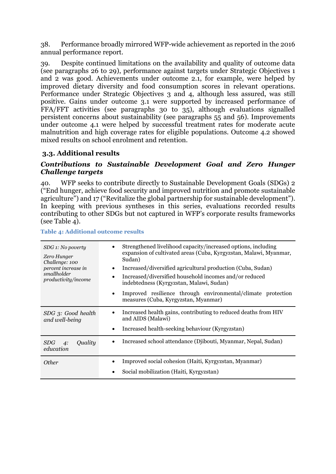38. Performance broadly mirrored WFP-wide achievement as reported in the 2016 annual performance report.

39. Despite continued limitations on the availability and quality of outcome data (see paragraphs 26 to 29), performance against targets under Strategic Objectives 1 and 2 was good. Achievements under outcome 2.1, for example, were helped by improved dietary diversity and food consumption scores in relevant operations. Performance under Strategic Objectives 3 and 4, although less assured, was still positive. Gains under outcome 3.1 were supported by increased performance of FFA/FFT activities (see paragraphs 30 to 35), although evaluations signalled persistent concerns about sustainability (see paragraphs 55 and 56). Improvements under outcome 4.1 were helped by successful treatment rates for moderate acute malnutrition and high coverage rates for eligible populations. Outcome 4.2 showed mixed results on school enrolment and retention.

## <span id="page-16-0"></span>**3.3. Additional results**

### *Contributions to Sustainable Development Goal and Zero Hunger Challenge targets*

40. WFP seeks to contribute directly to Sustainable Development Goals (SDGs) 2 ("End hunger, achieve food security and improved nutrition and promote sustainable agriculture") and 17 ("Revitalize the global partnership for sustainable development"). In keeping with previous syntheses in this series, evaluations recorded results contributing to other SDGs but not captured in WFP's corporate results frameworks (see Table 4).

| SDG 1: No poverty<br>Zero Hunger<br>Challenge: 100<br>percent increase in<br>smallholder<br>productivity/income | Strengthened livelihood capacity/increased options, including<br>expansion of cultivated areas (Cuba, Kyrgyzstan, Malawi, Myanmar,<br>Sudan)<br>Increased/diversified agricultural production (Cuba, Sudan)<br>$\bullet$<br>Increased/diversified household incomes and/or reduced<br>indebtedness (Kyrgyzstan, Malawi, Sudan)<br>Improved resilience through environmental/climate protection<br>$\bullet$<br>measures (Cuba, Kyrgyzstan, Myanmar) |
|-----------------------------------------------------------------------------------------------------------------|-----------------------------------------------------------------------------------------------------------------------------------------------------------------------------------------------------------------------------------------------------------------------------------------------------------------------------------------------------------------------------------------------------------------------------------------------------|
| SDG 3: Good health<br>and well-being                                                                            | Increased health gains, contributing to reduced deaths from HIV<br>and AIDS (Malawi)<br>Increased health-seeking behaviour (Kyrgyzstan)<br>$\bullet$                                                                                                                                                                                                                                                                                                |
| SDG<br>Quality<br>4:<br>education                                                                               | Increased school attendance (Djibouti, Myanmar, Nepal, Sudan)<br>$\bullet$                                                                                                                                                                                                                                                                                                                                                                          |
| <i>Other</i>                                                                                                    | Improved social cohesion (Haiti, Kyrgyzstan, Myanmar)<br>Social mobilization (Haiti, Kyrgyzstan)                                                                                                                                                                                                                                                                                                                                                    |

#### <span id="page-16-1"></span>**Table 4: Additional outcome results**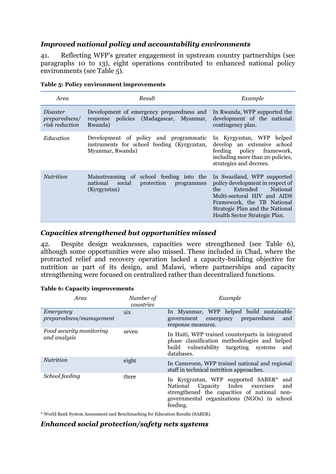## *Improved national policy and accountability environments*

41. Reflecting WFP's greater engagement in upstream country partnerships (see paragraphs 10 to 13), eight operations contributed to enhanced national policy environments (see Table 5).

| Area                                               | Result                                                                                                     | Example                                                                                                                                                                                                                          |
|----------------------------------------------------|------------------------------------------------------------------------------------------------------------|----------------------------------------------------------------------------------------------------------------------------------------------------------------------------------------------------------------------------------|
| <i>Disaster</i><br>preparedness/<br>risk reduction | Development of emergency preparedness and<br>response policies (Madagascar, Myanmar,<br>Rwanda)            | In Rwanda, WFP supported the<br>development of the national<br>contingency plan.                                                                                                                                                 |
| Education                                          | Development of policy and programmatic<br>instruments for school feeding (Kyrgyzstan,<br>Myanmar, Rwanda)  | In Kyrgyzstan, WFP helped<br>develop an extensive school<br>policy framework,<br>feeding<br>including more than 20 policies,<br>strategies and decrees.                                                                          |
| <b>Nutrition</b>                                   | Mainstreaming of school feeding into the<br>national<br>social<br>protection<br>programmes<br>(Kyrgyzstan) | In Swaziland, WFP supported<br>policy development in respect of<br>Extended<br>National<br>the.<br>Multi-sectoral HIV and AIDS<br>Framework, the TB National<br>Strategic Plan and the National<br>Health Sector Strategic Plan. |

<span id="page-17-0"></span>

|  |  |  | Table 5: Policy environment improvements |
|--|--|--|------------------------------------------|
|--|--|--|------------------------------------------|

#### *Capacities strengthened but opportunities missed*

42. Despite design weaknesses, capacities were strengthened (see Table 6), although some opportunities were also missed. These included in Chad, where the protracted relief and recovery operation lacked a capacity-building objective for nutrition as part of its design, and Malawi, where partnerships and capacity strengthening were focused on centralized rather than decentralized functions.

#### <span id="page-17-1"></span>**Table 6: Capacity improvements**

| Area                                     | Number of<br>countries | Example                                                                                                                                                                                                 |
|------------------------------------------|------------------------|---------------------------------------------------------------------------------------------------------------------------------------------------------------------------------------------------------|
| Emergency<br>preparedness/management     | six                    | In Myanmar, WFP helped build sustainable<br>preparedness<br>emergency<br>government<br>and<br>response measures.                                                                                        |
| Food security monitoring<br>and analysis | seven                  | In Haiti, WFP trained counterparts in integrated<br>phase classification methodologies and helped<br>build vulnerability targeting systems<br>and<br>databases.                                         |
| Nutrition                                | eight                  | In Cameroon, WFP trained national and regional<br>staff in technical nutrition approaches.                                                                                                              |
| School feeding                           | three                  | In Kyrgyzstan, WFP supported SABER*<br>and<br>Capacity Index<br>National<br>exercises<br>and<br>strengthened the capacities of national non-<br>governmental organizations (NGOs) in school<br>feeding. |

\* World Bank System Assessment and Benchmarking for Education Results (SABER).

#### *Enhanced social protection/safety nets systems*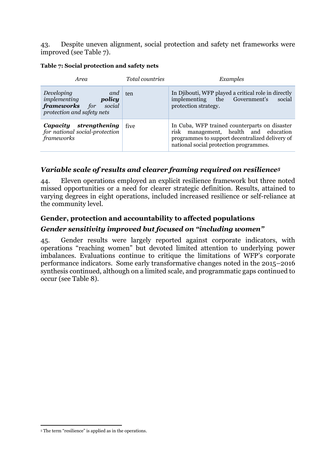43. Despite uneven alignment, social protection and safety net frameworks were improved (see Table 7).

#### <span id="page-18-0"></span>**Table 7: Social protection and safety nets**

| Area                                                                                               | <i>Total countries</i> | Examples                                                                                                                                                                            |
|----------------------------------------------------------------------------------------------------|------------------------|-------------------------------------------------------------------------------------------------------------------------------------------------------------------------------------|
| Developing<br>and<br>implementing<br>policy<br>frameworks for social<br>protection and safety nets | ten                    | In Djibouti, WFP played a critical role in directly<br>implementing the Government's<br>social<br>protection strategy.                                                              |
| Capacity strengthening<br>for national social-protection<br>frameworks                             | five                   | In Cuba, WFP trained counterparts on disaster<br>risk management, health and education<br>programmes to support decentralized delivery of<br>national social protection programmes. |

## *Variable scale of results and clearer framing required on resilience<sup>5</sup>*

44. Eleven operations employed an explicit resilience framework but three noted missed opportunities or a need for clearer strategic definition. Results, attained to varying degrees in eight operations, included increased resilience or self-reliance at the community level.

## **Gender, protection and accountability to affected populations**

## *Gender sensitivity improved but focused on "including women"*

45. Gender results were largely reported against corporate indicators, with operations "reaching women" but devoted limited attention to underlying power imbalances. Evaluations continue to critique the limitations of WFP's corporate performance indicators. Some early transformative changes noted in the 2015–2016 synthesis continued, although on a limited scale, and programmatic gaps continued to occur (see Table 8).

<sup>1</sup> <sup>5</sup> The term "resilience" is applied as in the operations.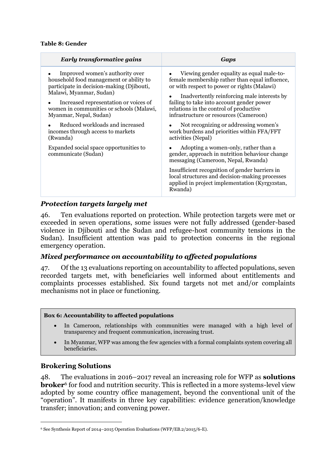#### <span id="page-19-0"></span>**Table 8: Gender**

| <b>Early transformative gains</b>                                                                                                                                                                                                                                                                                                                     | Gaps                                                                                                                                                                                                                                                                                                                                                                                                                                    |
|-------------------------------------------------------------------------------------------------------------------------------------------------------------------------------------------------------------------------------------------------------------------------------------------------------------------------------------------------------|-----------------------------------------------------------------------------------------------------------------------------------------------------------------------------------------------------------------------------------------------------------------------------------------------------------------------------------------------------------------------------------------------------------------------------------------|
| Improved women's authority over<br>household food management or ability to<br>participate in decision-making (Djibouti,<br>Malawi, Myanmar, Sudan)<br>Increased representation or voices of<br>women in communities or schools (Malawi,<br>Myanmar, Nepal, Sudan)<br>Reduced workloads and increased<br>incomes through access to markets<br>(Rwanda) | Viewing gender equality as equal male-to-<br>female membership rather than equal influence,<br>or with respect to power or rights (Malawi)<br>Inadvertently reinforcing male interests by<br>failing to take into account gender power<br>relations in the control of productive<br>infrastructure or resources (Cameroon)<br>Not recognizing or addressing women's<br>work burdens and priorities within FFA/FFT<br>activities (Nepal) |
| Expanded social space opportunities to<br>communicate (Sudan)                                                                                                                                                                                                                                                                                         | Adopting a women-only, rather than a<br>gender, approach in nutrition behaviour change<br>messaging (Cameroon, Nepal, Rwanda)<br>Insufficient recognition of gender barriers in<br>local structures and decision-making processes<br>applied in project implementation (Kyrgyzstan,<br>Rwanda)                                                                                                                                          |

## *Protection targets largely met*

46. Ten evaluations reported on protection. While protection targets were met or exceeded in seven operations, some issues were not fully addressed (gender-based violence in Djibouti and the Sudan and refugee-host community tensions in the Sudan). Insufficient attention was paid to protection concerns in the regional emergency operation.

## *Mixed performance on accountability to affected populations*

47. Of the 13 evaluations reporting on accountability to affected populations, seven recorded targets met, with beneficiaries well informed about entitlements and complaints processes established. Six found targets not met and/or complaints mechanisms not in place or functioning.

#### **Box 6: Accountability to affected populations**

- In Cameroon, relationships with communities were managed with a high level of transparency and frequent communication, increasing trust.
- In Myanmar, WFP was among the few agencies with a formal complaints system covering all beneficiaries.

#### **Brokering Solutions**

1

48. The evaluations in 2016–2017 reveal an increasing role for WFP as **solutions broker**<sup>6</sup> for food and nutrition security. This is reflected in a more systems-level view adopted by some country office management, beyond the conventional unit of the "operation". It manifests in three key capabilities: evidence generation/knowledge transfer; innovation; and convening power.

<sup>6</sup> See Synthesis Report of 2014–2015 Operation Evaluations (WFP/EB.2/2015/6-E).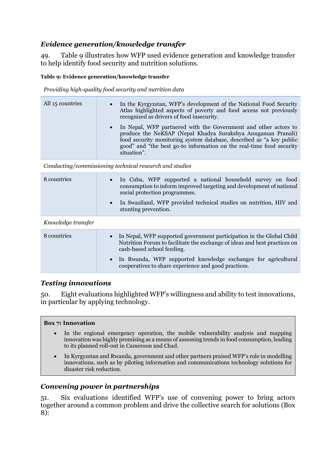## *Evidence generation/knowledge transfer*

49. Table 9 illustrates how WFP used evidence generation and knowledge transfer to help identify food security and nutrition solutions.

#### <span id="page-20-0"></span>**Table 9: Evidence generation/knowledge transfer**

*Providing high-quality food security and nutrition data*

| All 15 countries | In the Kyrgyzstan, WFP's development of the National Food Security<br>$\bullet$<br>Atlas highlighted aspects of poverty and food access not previously<br>recognized as drivers of food insecurity.                                                                                                         |
|------------------|-------------------------------------------------------------------------------------------------------------------------------------------------------------------------------------------------------------------------------------------------------------------------------------------------------------|
|                  | In Nepal, WFP partnered with the Government and other actors to<br>$\bullet$<br>produce the NeKSAP (Nepal Khadya Surakshya Anugaman Pranali)<br>food security monitoring system database, described as "a key public<br>good" and "the best go-to information on the real-time food security<br>situation". |

*Conducting/commissioning technical research and studies* 

| 8 countries | • In Cuba, WFP supported a national household survey on food<br>consumption to inform improved targeting and development of national<br>social protection programmes. |
|-------------|-----------------------------------------------------------------------------------------------------------------------------------------------------------------------|
|             | In Swaziland, WFP provided technical studies on nutrition, HIV and<br>stunting prevention.                                                                            |

#### *Knowledge transfer*

| 8 countries | In Nepal, WFP supported government participation in the Global Child<br>$\bullet$<br>Nutrition Forum to facilitate the exchange of ideas and best practices on<br>cash-based school feeding. |
|-------------|----------------------------------------------------------------------------------------------------------------------------------------------------------------------------------------------|
|             | • In Rwanda, WFP supported knowledge exchanges for agricultural<br>cooperatives to share experience and good practices.                                                                      |

## *Testing innovations*

50. Eight evaluations highlighted WFP's willingness and ability to test innovations, in particular by applying technology.

#### **Box 7: Innovation**

- In the regional emergency operation, the mobile vulnerability analysis and mapping innovation was highly promising as a means of assessing trends in food consumption, leading to its planned roll-out in Cameroon and Chad.
- In Kyrgyzstan and Rwanda, government and other partners praised WFP's role in modelling innovations, such as by piloting information and communications technology solutions for disaster risk reduction.

## *Convening power in partnerships*

51. Six evaluations identified WFP's use of convening power to bring actors together around a common problem and drive the collective search for solutions (Box 8):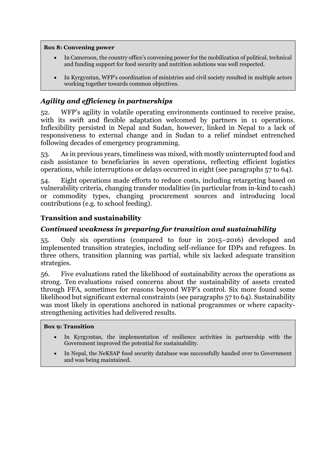#### **Box 8: Convening power**

- In Cameroon, the country office's convening power for the mobilization of political, technical and funding support for food security and nutrition solutions was well respected.
- In Kyrgyzstan, WFP's coordination of ministries and civil society resulted in multiple actors working together towards common objectives.

## *Agility and efficiency in partnerships*

52. WFP's agility in volatile operating environments continued to receive praise, with its swift and flexible adaptation welcomed by partners in 11 operations. Inflexibility persisted in Nepal and Sudan, however, linked in Nepal to a lack of responsiveness to external change and in Sudan to a relief mindset entrenched following decades of emergency programming.

53. As in previous years, timeliness was mixed, with mostly uninterrupted food and cash assistance to beneficiaries in seven operations, reflecting efficient logistics operations, while interruptions or delays occurred in eight (see paragraphs 57 to 64).

54. Eight operations made efforts to reduce costs, including retargeting based on vulnerability criteria, changing transfer modalities (in particular from in-kind to cash) or commodity types, changing procurement sources and introducing local contributions (e.g. to school feeding).

## **Transition and sustainability**

## *Continued weakness in preparing for transition and sustainability*

55. Only six operations (compared to four in 2015–2016) developed and implemented transition strategies, including self-reliance for IDPs and refugees. In three others, transition planning was partial, while six lacked adequate transition strategies.

56. Five evaluations rated the likelihood of sustainability across the operations as strong. Ten evaluations raised concerns about the sustainability of assets created through FFA, sometimes for reasons beyond WFP's control. Six more found some likelihood but significant external constraints (see paragraphs 57 to 64). Sustainability was most likely in operations anchored in national programmes or where capacitystrengthening activities had delivered results.

#### **Box 9: Transition**

- In Kyrgyzstan, the implementation of resilience activities in partnership with the Government improved the potential for sustainability.
- In Nepal, the NeKSAP food security database was successfully handed over to Government and was being maintained.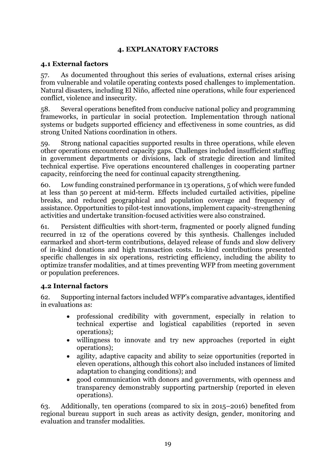## **4. EXPLANATORY FACTORS**

## <span id="page-22-1"></span><span id="page-22-0"></span>**4.1 External factors**

57. As documented throughout this series of evaluations, external crises arising from vulnerable and volatile operating contexts posed challenges to implementation. Natural disasters, including El Niño, affected nine operations, while four experienced conflict, violence and insecurity.

58. Several operations benefited from conducive national policy and programming frameworks, in particular in social protection. Implementation through national systems or budgets supported efficiency and effectiveness in some countries, as did strong United Nations coordination in others.

59. Strong national capacities supported results in three operations, while eleven other operations encountered capacity gaps. Challenges included insufficient staffing in government departments or divisions, lack of strategic direction and limited technical expertise. Five operations encountered challenges in cooperating partner capacity, reinforcing the need for continual capacity strengthening.

60. Low funding constrained performance in 13 operations, 5 of which were funded at less than 50 percent at mid-term. Effects included curtailed activities, pipeline breaks, and reduced geographical and population coverage and frequency of assistance. Opportunities to pilot-test innovations, implement capacity-strengthening activities and undertake transition-focused activities were also constrained.

61. Persistent difficulties with short-term, fragmented or poorly aligned funding recurred in 12 of the operations covered by this synthesis. Challenges included earmarked and short-term contributions, delayed release of funds and slow delivery of in-kind donations and high transaction costs. In-kind contributions presented specific challenges in six operations, restricting efficiency, including the ability to optimize transfer modalities, and at times preventing WFP from meeting government or population preferences.

#### <span id="page-22-2"></span>**4.2 Internal factors**

62. Supporting internal factors included WFP's comparative advantages, identified in evaluations as:

- professional credibility with government, especially in relation to technical expertise and logistical capabilities (reported in seven operations);
- willingness to innovate and try new approaches (reported in eight operations);
- agility, adaptive capacity and ability to seize opportunities (reported in eleven operations, although this cohort also included instances of limited adaptation to changing conditions); and
- good communication with donors and governments, with openness and transparency demonstrably supporting partnership (reported in eleven operations).

63. Additionally, ten operations (compared to six in 2015–2016) benefited from regional bureau support in such areas as activity design, gender, monitoring and evaluation and transfer modalities.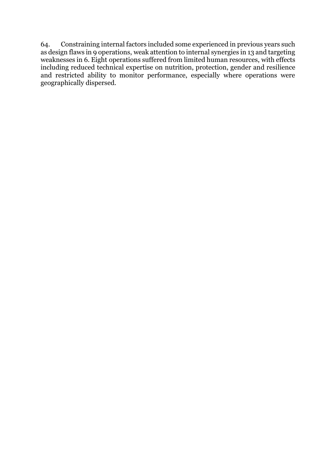64. Constraining internal factors included some experienced in previous years such as design flaws in 9 operations, weak attention to internal synergies in 13 and targeting weaknesses in 6. Eight operations suffered from limited human resources, with effects including reduced technical expertise on nutrition, protection, gender and resilience and restricted ability to monitor performance, especially where operations were geographically dispersed.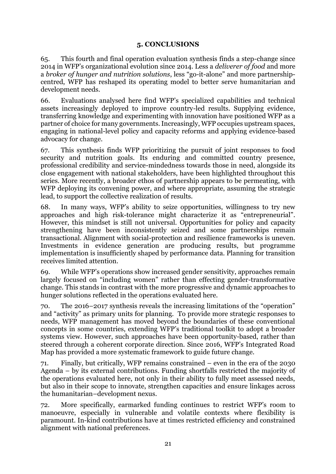## **5. CONCLUSIONS**

<span id="page-24-0"></span>65. This fourth and final operation evaluation synthesis finds a step-change since 2014 in WFP's organizational evolution since 2014. Less a *deliverer of food* and more a *broker of hunger and nutrition solutions*, less "go-it-alone" and more partnershipcentred, WFP has reshaped its operating model to better serve humanitarian and development needs.

66. Evaluations analysed here find WFP's specialized capabilities and technical assets increasingly deployed to improve country-led results. Supplying evidence, transferring knowledge and experimenting with innovation have positioned WFP as a partner of choice for many governments. Increasingly, WFP occupies upstream spaces, engaging in national-level policy and capacity reforms and applying evidence-based advocacy for change.

67. This synthesis finds WFP prioritizing the pursuit of joint responses to food security and nutrition goals. Its enduring and committed country presence, professional credibility and service-mindedness towards those in need, alongside its close engagement with national stakeholders, have been highlighted throughout this series. More recently, a broader ethos of partnership appears to be permeating, with WFP deploying its convening power, and where appropriate, assuming the strategic lead, to support the collective realization of results.

68. In many ways, WFP's ability to seize opportunities, willingness to try new approaches and high risk-tolerance might characterize it as "entrepreneurial"*.* However, this mindset is still not universal. Opportunities for policy and capacity strengthening have been inconsistently seized and some partnerships remain transactional. Alignment with social-protection and resilience frameworks is uneven. Investments in evidence generation are producing results, but programme implementation is insufficiently shaped by performance data. Planning for transition receives limited attention.

69. While WFP's operations show increased gender sensitivity, approaches remain largely focused on "including women" rather than effecting gender-transformative change. This stands in contrast with the more progressive and dynamic approaches to hunger solutions reflected in the operations evaluated here.

70. The 2016–2017 synthesis reveals the increasing limitations of the "operation" and "activity" as primary units for planning. To provide more strategic responses to needs, WFP management has moved beyond the boundaries of these conventional concepts in some countries, extending WFP's traditional toolkit to adopt a broader systems view. However, such approaches have been opportunity-based, rather than steered through a coherent corporate direction. Since 2016, WFP's Integrated Road Map has provided a more systematic framework to guide future change.

71. Finally, but critically, WFP remains constrained – even in the era of the 2030 Agenda – by its external contributions. Funding shortfalls restricted the majority of the operations evaluated here, not only in their ability to fully meet assessed needs, but also in their scope to innovate, strengthen capacities and ensure linkages across the humanitarian–development nexus.

72. More specifically, earmarked funding continues to restrict WFP's room to manoeuvre, especially in vulnerable and volatile contexts where flexibility is paramount. In-kind contributions have at times restricted efficiency and constrained alignment with national preferences.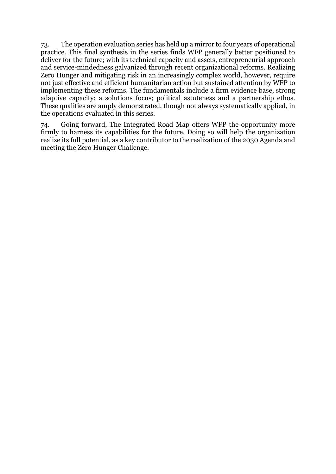73. The operation evaluation series has held up a mirror to four years of operational practice. This final synthesis in the series finds WFP generally better positioned to deliver for the future; with its technical capacity and assets, entrepreneurial approach and service-mindedness galvanized through recent organizational reforms. Realizing Zero Hunger and mitigating risk in an increasingly complex world, however, require not just effective and efficient humanitarian action but sustained attention by WFP to implementing these reforms. The fundamentals include a firm evidence base, strong adaptive capacity; a solutions focus; political astuteness and a partnership ethos. These qualities are amply demonstrated, though not always systematically applied, in the operations evaluated in this series.

74. Going forward, The Integrated Road Map offers WFP the opportunity more firmly to harness its capabilities for the future. Doing so will help the organization realize its full potential, as a key contributor to the realization of the 2030 Agenda and meeting the Zero Hunger Challenge.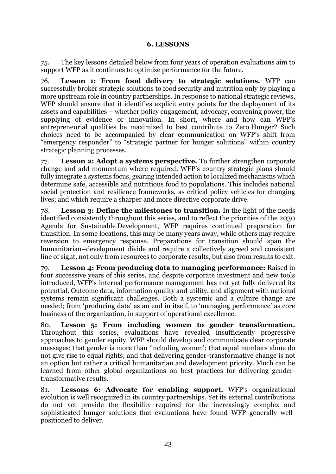## **6. LESSONS**

<span id="page-26-0"></span>75. The key lessons detailed below from four years of operation evaluations aim to support WFP as it continues to optimize performance for the future.

76. **Lesson 1: From food delivery to strategic solutions.** WFP can successfully broker strategic solutions to food security and nutrition only by playing a more upstream role in country partnerships. In response to national strategic reviews, WFP should ensure that it identifies explicit entry points for the deployment of its assets and capabilities – whether policy engagement, advocacy, convening power, the supplying of evidence or innovation. In short, where and how can WFP's entrepreneurial qualities be maximized to best contribute to Zero Hunger? Such choices need to be accompanied by clear communication on WFP's shift from "emergency responder" to "strategic partner for hunger solutions" within country strategic planning processes.

77. **Lesson 2: Adopt a systems perspective.** To further strengthen corporate change and add momentum where required, WFP's country strategic plans should fully integrate a systems focus, gearing intended action to localized mechanisms which determine safe, accessible and nutritious food to populations. This includes national social protection and resilience frameworks, as critical policy vehicles for changing lives; and which require a sharper and more directive corporate drive.

78. **Lesson 3: Define the milestones to transition.** In the light of the needs identified consistently throughout this series, and to reflect the priorities of the 2030 Agenda for Sustainable Development, WFP requires continued preparation for transition. In some locations, this may be many years away, while others may require reversion to emergency response. Preparations for transition should span the humanitarian–development divide and require a collectively agreed and consistent line of sight, not only from resources to corporate results, but also from results to exit.

79. **Lesson 4: From producing data to managing performance:** Raised in four successive years of this series, and despite corporate investment and new tools introduced, WFP's internal performance management has not yet fully delivered its potential. Outcome data, information quality and utility, and alignment with national systems remain significant challenges. Both a systemic and a culture change are needed; from 'producing data' as an end in itself, to 'managing performance' as core business of the organization, in support of operational excellence.

80. **Lesson 5: From including women to gender transformation.**  Throughout this series, evaluations have revealed insufficiently progressive approaches to gender equity. WFP should develop and communicate clear corporate messages: that gender is more than 'including women'; that equal numbers alone do not give rise to equal rights; and that delivering gender-transformative change is not an option but rather a critical humanitarian and development priority. Much can be learned from other global organizations on best practices for delivering gendertransformative results.

81. **Lessons 6: Advocate for enabling support.** WFP's organizational evolution is well recognized in its country partnerships. Yet its external contributions do not yet provide the flexibility required for the increasingly complex and sophisticated hunger solutions that evaluations have found WFP generally wellpositioned to deliver.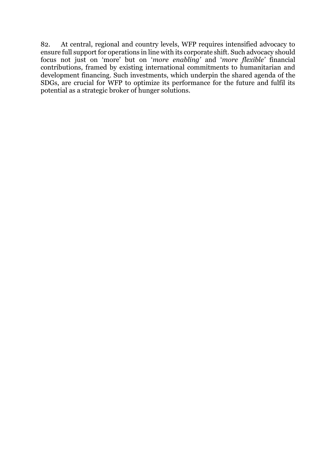82. At central, regional and country levels, WFP requires intensified advocacy to ensure full support for operations in line with its corporate shift. Such advocacy should focus not just on 'more' but on '*more enabling'* and '*more flexible'* financial contributions, framed by existing international commitments to humanitarian and development financing. Such investments, which underpin the shared agenda of the SDGs, are crucial for WFP to optimize its performance for the future and fulfil its potential as a strategic broker of hunger solutions.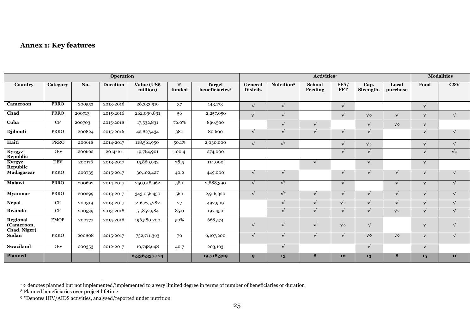## **Annex 1: Key features**

| <b>Operation</b>                       |             |        |                 |                         |             | Activities <sup>7</sup>                     |                     |                        |                   |                    |                   | <b>Modalities</b> |            |                   |
|----------------------------------------|-------------|--------|-----------------|-------------------------|-------------|---------------------------------------------|---------------------|------------------------|-------------------|--------------------|-------------------|-------------------|------------|-------------------|
| Country                                | Category    | No.    | <b>Duration</b> | Value (US\$<br>million) | %<br>funded | <b>Target</b><br>beneficiaries <sup>8</sup> | General<br>Distrib. | Nutrition <sup>9</sup> | School<br>Feeding | FFA/<br><b>FFT</b> | Cap.<br>Strength. | Local<br>purchase | Food       | C&V               |
| Cameroon                               | <b>PRRO</b> | 200552 | 2013-2016       | 28,333,919              | 37          | 143,173                                     | $\sqrt{ }$          | $\sqrt{ }$             |                   | $\sqrt{ }$         |                   |                   | $\sqrt{ }$ |                   |
| Chad                                   | <b>PRRO</b> | 200713 | 2015-2016       | 262,099,891             | 56          | 2,257,050                                   | $\sqrt{ }$          | $\sqrt{}$              |                   | $\sqrt{ }$         | $\sqrt{\diamond}$ | $\sqrt{}$         | $\sqrt{ }$ | $\sqrt{ }$        |
| Cuba                                   | CP          | 200703 | 2015-2018       | 17,532,831              | 76.0%       | 896,500                                     |                     |                        |                   |                    | $\sqrt{ }$        | $\sqrt{\diamond}$ | $\sqrt{ }$ |                   |
| <b>Djibouti</b>                        | <b>PRRO</b> | 200824 | 2015-2016       | 42,827,434              | 38.1        | 80,600                                      | $\sqrt{ }$          |                        | $\sqrt{ }$        | $\sqrt{ }$         | $\sqrt{}$         |                   | $\sqrt{ }$ | $\sqrt{ }$        |
| Haiti                                  | <b>PRRO</b> | 200618 | 2014-2017       | 118,561,950             | 50.1%       | 2,030,000                                   | $\sqrt{ }$          | $\sqrt{*}$             |                   | $\sqrt{ }$         | $\sqrt{\diamond}$ |                   | $\sqrt{ }$ | $\sqrt{}$         |
| Kyrgyz<br>Republic                     | <b>DEV</b>  | 200662 | 2014-16         | 19,764,901              | 100.4       | 274,000                                     |                     |                        |                   |                    |                   |                   |            | $\sqrt{\diamond}$ |
| Kyrgyz<br>Republic                     | <b>DEV</b>  | 200176 | 2013-2017       | 15,869,932              | 78.5        | 114,000                                     |                     |                        | $\sqrt{ }$        |                    | $\sqrt{ }$        |                   | $\sqrt{ }$ |                   |
| Madagascar                             | <b>PRRO</b> | 200735 | 2015-2017       | 30,102,427              | 40.2        | 449,000                                     | $\sqrt{ }$          | $\sqrt{}$              |                   | $\sqrt{ }$         | $\sqrt{}$         | $\sqrt{ }$        | $\sqrt{ }$ | $\sqrt{ }$        |
| Malawi                                 | PRRO        | 200692 | 2014-2017       | 250,018 962             | 58.1        | 2,888,390                                   | $\sqrt{ }$          | $\sqrt{*}$             |                   | $\sqrt{ }$         |                   | $\sqrt{ }$        | $\sqrt{ }$ | $\sqrt{ }$        |
| <b>M</b> vanmar                        | <b>PRRO</b> | 200299 | 2013-2017       | 343,056,450             | 56.1        | 2,916,320                                   | $\sqrt{ }$          | $\sqrt{*}$             | $\sqrt{ }$        | $\sqrt{ }$         | $\sqrt{ }$        | $\sqrt{ }$        | $\sqrt{}$  | $\sqrt{ }$        |
| <b>Nepal</b>                           | CP          | 200319 | 2013-2017       | 216, 275, 282           | 27          | 492,909                                     |                     |                        |                   | $\sqrt{\diamond}$  | $\sqrt{}$         | $\sqrt{ }$        | $\sqrt{ }$ | $\mathbf{v}$      |
| Rwanda                                 | CP          | 200539 | 2013-2018       | 51,852,984              | 85.0        | 197,450                                     |                     |                        |                   | $\sqrt{ }$         | $\sqrt{ }$        | $\sqrt{\diamond}$ | $\sqrt{ }$ |                   |
| Regional<br>(Cameroon,<br>Chad, Niger) | <b>EMOP</b> | 200777 | 2015-2016       | 196,580,200             | 50%         | 668,574                                     | $\sqrt{ }$          | $\sqrt{}$              | $\sqrt{ }$        | $\sqrt{\diamond}$  | $\sqrt{ }$        |                   | $\sqrt{ }$ | $\sqrt{ }$        |
| <b>Sudan</b>                           | <b>PRRO</b> | 200808 | 2015-2017       | 732,711,363             | 70          | 6,107,200                                   | √                   |                        |                   |                    | $\sqrt{\diamond}$ | $\sqrt{\diamond}$ | $\sqrt{ }$ | $\sqrt{ }$        |
| Swaziland                              | <b>DEV</b>  | 200353 | 2012-2017       | 10,748,648              | 40.7        | 203,163                                     |                     | $\sqrt{}$              |                   |                    | $\sqrt{}$         |                   | $\sqrt{ }$ |                   |
| Planned                                |             |        |                 | 2,336,337,174           |             | 19,718,329                                  | $\boldsymbol{9}$    | 13                     | 8                 | 12                 | 13                | 8                 | 15         | 11                |

<span id="page-28-0"></span> $\overline{\phantom{a}}$ 

<sup>7</sup> ◊ denotes planned but not implemented/implemented to a very limited degree in terms of number of beneficiaries or duration

<sup>8</sup> Planned beneficiaries over project lifetime

<sup>9</sup> \*Denotes HIV/AIDS activities, analysed/reported under nutrition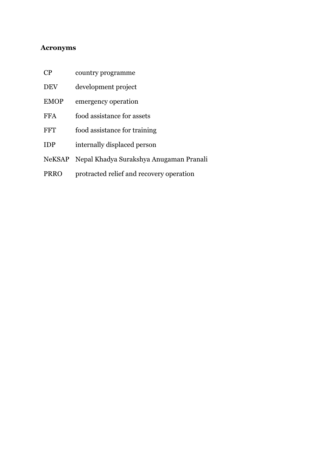## <span id="page-29-0"></span>**Acronyms**

| CP            | country programme                        |
|---------------|------------------------------------------|
| <b>DEV</b>    | development project                      |
| <b>EMOP</b>   | emergency operation                      |
| <b>FFA</b>    | food assistance for assets               |
| FFT           | food assistance for training             |
| <b>IDP</b>    | internally displaced person              |
| <b>NeKSAP</b> | Nepal Khadya Surakshya Anugaman Pranali  |
| <b>PRRO</b>   | protracted relief and recovery operation |